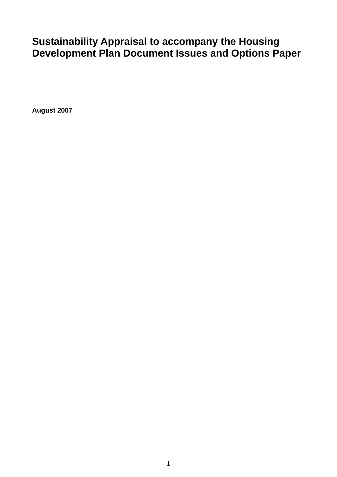# **Sustainability Appraisal to accompany the Housing Development Plan Document Issues and Options Paper**

**August 2007**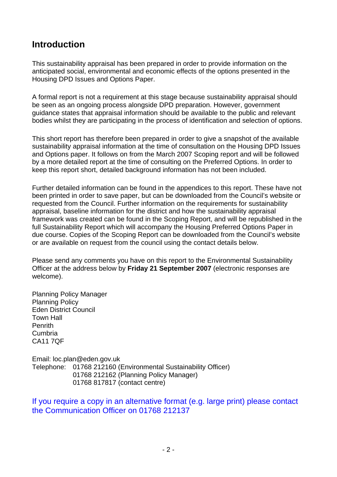## **Introduction**

This sustainability appraisal has been prepared in order to provide information on the anticipated social, environmental and economic effects of the options presented in the Housing DPD Issues and Options Paper.

A formal report is not a requirement at this stage because sustainability appraisal should be seen as an ongoing process alongside DPD preparation. However, government guidance states that appraisal information should be available to the public and relevant bodies whilst they are participating in the process of identification and selection of options.

This short report has therefore been prepared in order to give a snapshot of the available sustainability appraisal information at the time of consultation on the Housing DPD Issues and Options paper. It follows on from the March 2007 Scoping report and will be followed by a more detailed report at the time of consulting on the Preferred Options. In order to keep this report short, detailed background information has not been included.

Further detailed information can be found in the appendices to this report. These have not been printed in order to save paper, but can be downloaded from the Council's website or requested from the Council. Further information on the requirements for sustainability appraisal, baseline information for the district and how the sustainability appraisal framework was created can be found in the Scoping Report, and will be republished in the full Sustainability Report which will accompany the Housing Preferred Options Paper in due course. Copies of the Scoping Report can be downloaded from the Council's website or are available on request from the council using the contact details below.

Please send any comments you have on this report to the Environmental Sustainability Officer at the address below by **Friday 21 September 2007** (electronic responses are welcome).

Planning Policy Manager Planning Policy Eden District Council Town Hall Penrith Cumbria CA11 7QF

Email: loc.plan@eden.gov.uk Telephone: 01768 212160 (Environmental Sustainability Officer) 01768 212162 (Planning Policy Manager) 01768 817817 (contact centre)

If you require a copy in an alternative format (e.g. large print) please contact the Communication Officer on 01768 212137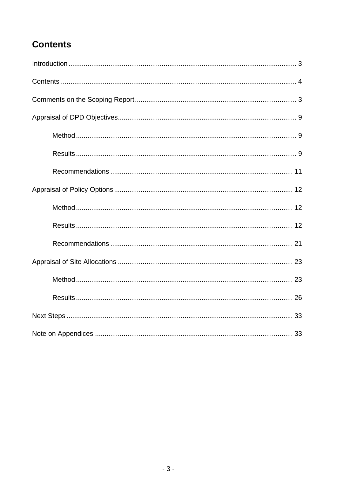# **Contents**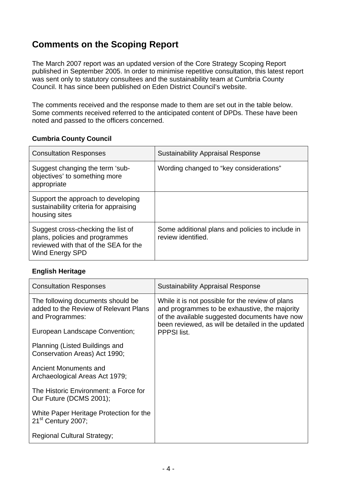# **Comments on the Scoping Report**

The March 2007 report was an updated version of the Core Strategy Scoping Report published in September 2005. In order to minimise repetitive consultation, this latest report was sent only to statutory consultees and the sustainability team at Cumbria County Council. It has since been published on Eden District Council's website.

The comments received and the response made to them are set out in the table below. Some comments received referred to the anticipated content of DPDs. These have been noted and passed to the officers concerned.

#### **Cumbria County Council**

| <b>Consultation Responses</b>                                                                                                    | <b>Sustainability Appraisal Response</b>                               |
|----------------------------------------------------------------------------------------------------------------------------------|------------------------------------------------------------------------|
| Suggest changing the term 'sub-<br>objectives' to something more<br>appropriate                                                  | Wording changed to "key considerations"                                |
| Support the approach to developing<br>sustainability criteria for appraising<br>housing sites                                    |                                                                        |
| Suggest cross-checking the list of<br>plans, policies and programmes<br>reviewed with that of the SEA for the<br>Wind Energy SPD | Some additional plans and policies to include in<br>review identified. |

#### **English Heritage**

| <b>Consultation Responses</b>                                                                 | <b>Sustainability Appraisal Response</b>                                                                                                                                                                                      |
|-----------------------------------------------------------------------------------------------|-------------------------------------------------------------------------------------------------------------------------------------------------------------------------------------------------------------------------------|
| The following documents should be<br>added to the Review of Relevant Plans<br>and Programmes: | While it is not possible for the review of plans<br>and programmes to be exhaustive, the majority<br>of the available suggested documents have now<br>been reviewed, as will be detailed in the updated<br><b>PPPSI</b> list. |
| European Landscape Convention;                                                                |                                                                                                                                                                                                                               |
| Planning (Listed Buildings and<br>Conservation Areas) Act 1990;                               |                                                                                                                                                                                                                               |
| Ancient Monuments and<br>Archaeological Areas Act 1979;                                       |                                                                                                                                                                                                                               |
| The Historic Environment: a Force for<br>Our Future (DCMS 2001);                              |                                                                                                                                                                                                                               |
| White Paper Heritage Protection for the<br>21 <sup>st</sup> Century 2007;                     |                                                                                                                                                                                                                               |
| <b>Regional Cultural Strategy;</b>                                                            |                                                                                                                                                                                                                               |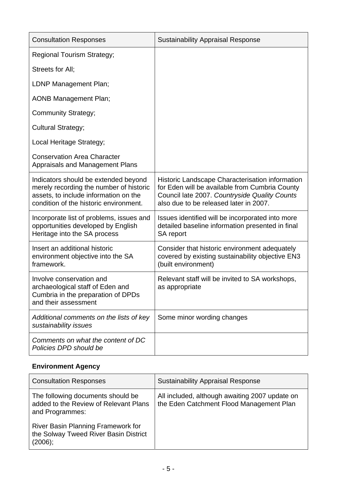| <b>Consultation Responses</b>                                                                                                                                      | <b>Sustainability Appraisal Response</b>                                                                                                                                                     |
|--------------------------------------------------------------------------------------------------------------------------------------------------------------------|----------------------------------------------------------------------------------------------------------------------------------------------------------------------------------------------|
| <b>Regional Tourism Strategy;</b>                                                                                                                                  |                                                                                                                                                                                              |
| Streets for All:                                                                                                                                                   |                                                                                                                                                                                              |
| LDNP Management Plan;                                                                                                                                              |                                                                                                                                                                                              |
| <b>AONB Management Plan;</b>                                                                                                                                       |                                                                                                                                                                                              |
| <b>Community Strategy;</b>                                                                                                                                         |                                                                                                                                                                                              |
| Cultural Strategy;                                                                                                                                                 |                                                                                                                                                                                              |
| Local Heritage Strategy;                                                                                                                                           |                                                                                                                                                                                              |
| <b>Conservation Area Character</b><br><b>Appraisals and Management Plans</b>                                                                                       |                                                                                                                                                                                              |
| Indicators should be extended beyond<br>merely recording the number of historic<br>assets, to include information on the<br>condition of the historic environment. | Historic Landscape Characterisation information<br>for Eden will be available from Cumbria County<br>Council late 2007. Countryside Quality Counts<br>also due to be released later in 2007. |
| Incorporate list of problems, issues and<br>opportunities developed by English<br>Heritage into the SA process                                                     | Issues identified will be incorporated into more<br>detailed baseline information presented in final<br>SA report                                                                            |
| Insert an additional historic<br>environment objective into the SA<br>framework.                                                                                   | Consider that historic environment adequately<br>covered by existing sustainability objective EN3<br>(built environment)                                                                     |
| Involve conservation and<br>archaeological staff of Eden and<br>Cumbria in the preparation of DPDs<br>and their assessment                                         | Relevant staff will be invited to SA workshops,<br>as appropriate                                                                                                                            |
| Additional comments on the lists of key<br>sustainability issues                                                                                                   | Some minor wording changes                                                                                                                                                                   |
| Comments on what the content of DC<br>Policies DPD should be                                                                                                       |                                                                                                                                                                                              |

## **Environment Agency**

| <b>Consultation Responses</b>                                                                 | <b>Sustainability Appraisal Response</b>                                                   |
|-----------------------------------------------------------------------------------------------|--------------------------------------------------------------------------------------------|
| The following documents should be<br>added to the Review of Relevant Plans<br>and Programmes: | All included, although awaiting 2007 update on<br>the Eden Catchment Flood Management Plan |
| River Basin Planning Framework for<br>the Solway Tweed River Basin District<br>(2006);        |                                                                                            |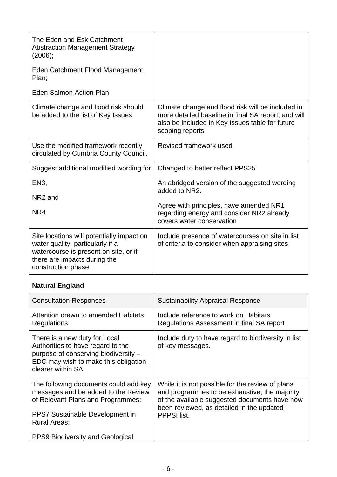| The Eden and Esk Catchment<br><b>Abstraction Management Strategy</b><br>(2006);<br>Eden Catchment Flood Management<br>Plan;<br><b>Eden Salmon Action Plan</b>                |                                                                                                                                                                                |
|------------------------------------------------------------------------------------------------------------------------------------------------------------------------------|--------------------------------------------------------------------------------------------------------------------------------------------------------------------------------|
| Climate change and flood risk should<br>be added to the list of Key Issues                                                                                                   | Climate change and flood risk will be included in<br>more detailed baseline in final SA report, and will<br>also be included in Key Issues table for future<br>scoping reports |
| Use the modified framework recently<br>circulated by Cumbria County Council.                                                                                                 | Revised framework used                                                                                                                                                         |
| Suggest additional modified wording for                                                                                                                                      | Changed to better reflect PPS25                                                                                                                                                |
| EN3,<br>NR <sub>2</sub> and<br>NR4                                                                                                                                           | An abridged version of the suggested wording<br>added to NR2.<br>Agree with principles, have amended NR1<br>regarding energy and consider NR2 already                          |
|                                                                                                                                                                              | covers water conservation                                                                                                                                                      |
| Site locations will potentially impact on<br>water quality, particularly if a<br>watercourse is present on site, or if<br>there are impacts during the<br>construction phase | Include presence of watercourses on site in list<br>of criteria to consider when appraising sites                                                                              |

# **Natural England**

| <b>Consultation Responses</b>                                                                                                                                               | <b>Sustainability Appraisal Response</b>                                                                                                                                                                       |
|-----------------------------------------------------------------------------------------------------------------------------------------------------------------------------|----------------------------------------------------------------------------------------------------------------------------------------------------------------------------------------------------------------|
| Attention drawn to amended Habitats<br>Regulations                                                                                                                          | Include reference to work on Habitats<br>Regulations Assessment in final SA report                                                                                                                             |
| There is a new duty for Local<br>Authorities to have regard to the<br>purpose of conserving biodiversity -<br>EDC may wish to make this obligation<br>clearer within SA     | Include duty to have regard to biodiversity in list<br>of key messages.                                                                                                                                        |
| The following documents could add key<br>messages and be added to the Review<br>of Relevant Plans and Programmes:<br>PPS7 Sustainable Development in<br><b>Rural Areas;</b> | While it is not possible for the review of plans<br>and programmes to be exhaustive, the majority<br>of the available suggested documents have now<br>been reviewed, as detailed in the updated<br>PPPSI list. |
| <b>PPS9 Biodiversity and Geological</b>                                                                                                                                     |                                                                                                                                                                                                                |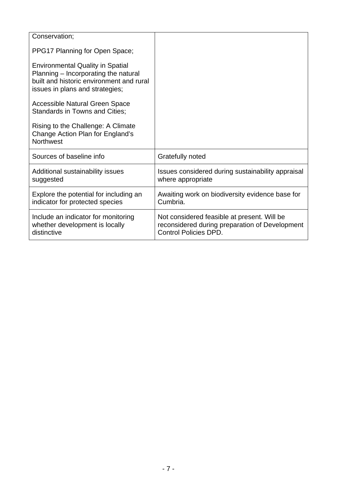| Conservation;                                                                                                                                                  |                                                                                                                               |
|----------------------------------------------------------------------------------------------------------------------------------------------------------------|-------------------------------------------------------------------------------------------------------------------------------|
| PPG17 Planning for Open Space;                                                                                                                                 |                                                                                                                               |
| <b>Environmental Quality in Spatial</b><br>Planning – Incorporating the natural<br>built and historic environment and rural<br>issues in plans and strategies; |                                                                                                                               |
| <b>Accessible Natural Green Space</b><br><b>Standards in Towns and Cities;</b>                                                                                 |                                                                                                                               |
| Rising to the Challenge: A Climate<br>Change Action Plan for England's<br><b>Northwest</b>                                                                     |                                                                                                                               |
| Sources of baseline info                                                                                                                                       | Gratefully noted                                                                                                              |
| Additional sustainability issues<br>suggested                                                                                                                  | Issues considered during sustainability appraisal<br>where appropriate                                                        |
| Explore the potential for including an<br>indicator for protected species                                                                                      | Awaiting work on biodiversity evidence base for<br>Cumbria.                                                                   |
| Include an indicator for monitoring<br>whether development is locally<br>distinctive                                                                           | Not considered feasible at present. Will be<br>reconsidered during preparation of Development<br><b>Control Policies DPD.</b> |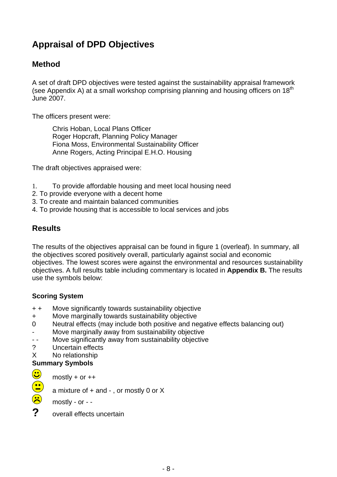# **Appraisal of DPD Objectives**

## **Method**

A set of draft DPD objectives were tested against the sustainability appraisal framework (see Appendix A) at a small workshop comprising planning and housing officers on 18<sup>th</sup> June 2007.

The officers present were:

Chris Hoban, Local Plans Officer Roger Hopcraft, Planning Policy Manager Fiona Moss, Environmental Sustainability Officer Anne Rogers, Acting Principal E.H.O. Housing

The draft objectives appraised were:

- 1. To provide affordable housing and meet local housing need
- 2. To provide everyone with a decent home
- 3. To create and maintain balanced communities
- 4. To provide housing that is accessible to local services and jobs

### **Results**

The results of the objectives appraisal can be found in figure 1 (overleaf). In summary, all the objectives scored positively overall, particularly against social and economic objectives. The lowest scores were against the environmental and resources sustainability objectives. A full results table including commentary is located in **Appendix B.** The results use the symbols below:

#### **Scoring System**

- + + Move significantly towards sustainability objective
- + Move marginally towards sustainability objective
- 0 Neutral effects (may include both positive and negative effects balancing out)
- Move marginally away from sustainability objective
- - Move significantly away from sustainability objective
- ? Uncertain effects
- X No relationship

#### **Summary Symbols**

a mixture of  $+$  and  $-$ , or mostly 0 or X

 $\frac{1}{\frac{1}{\sqrt{1+\frac{1}{\sqrt{1+\frac{1}{\sqrt{1+\frac{1}{\sqrt{1+\frac{1}{\sqrt{1+\frac{1}{\sqrt{1+\frac{1}{\sqrt{1+\frac{1}{\sqrt{1+\frac{1}{\sqrt{1+\frac{1}{\sqrt{1+\frac{1}{\sqrt{1+\frac{1}{\sqrt{1+\frac{1}{\sqrt{1+\frac{1}{\sqrt{1+\frac{1}{\sqrt{1+\frac{1}{\sqrt{1+\frac{1}{\sqrt{1+\frac{1}{\sqrt{1+\frac{1}{\sqrt{1+\frac{1}{\sqrt{1+\frac{1}{\sqrt{1+\frac{1}{\sqrt{1+\frac{1}{\sqrt{1+\frac{1}{\sqrt{$ mostly - or - -

**?** overall effects uncertain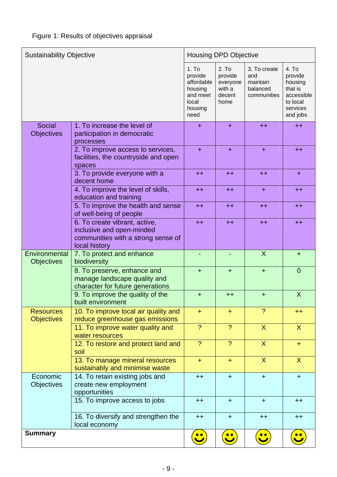| <b>Sustainability Objective</b>       |                                                                                     | <b>Housing DPD Objective</b>                                                                  |                                                                      |                                                            |                                                                                          |
|---------------------------------------|-------------------------------------------------------------------------------------|-----------------------------------------------------------------------------------------------|----------------------------------------------------------------------|------------------------------------------------------------|------------------------------------------------------------------------------------------|
|                                       |                                                                                     | 1. T <sub>O</sub><br>provide<br>affordable<br>housing<br>and meet<br>local<br>housing<br>need | 2. T <sub>O</sub><br>provide<br>everyone<br>with a<br>decent<br>home | 3. To create<br>and<br>maintain<br>balanced<br>communities | 4. To<br>provide<br>housing<br>that is<br>accessible<br>to local<br>services<br>and jobs |
| <b>Social</b>                         | 1. To increase the level of                                                         | $\ddot{}$                                                                                     | $\ddot{}$                                                            | $++$                                                       | $++$                                                                                     |
| <b>Objectives</b>                     | participation in democratic<br>processes                                            |                                                                                               |                                                                      |                                                            |                                                                                          |
|                                       | 2. To improve access to services,<br>facilities, the countryside and open<br>spaces | $\ddot{}$                                                                                     | $\ddot{}$                                                            | $\ddot{}$                                                  | $++$                                                                                     |
|                                       | 3. To provide everyone with a<br>decent home                                        | $++$                                                                                          | $++$                                                                 | $++$                                                       | ÷                                                                                        |
|                                       | 4. To improve the level of skills,<br>education and training                        | $++$                                                                                          | $++$                                                                 | $\ddot{}$                                                  | $++$                                                                                     |
|                                       | 5. To improve the health and sense<br>of well-being of people                       | $++$                                                                                          | $+ +$                                                                | $++$                                                       | $++$                                                                                     |
|                                       | 6. To create vibrant, active,<br>inclusive and open-minded                          | $++$                                                                                          | $++$                                                                 | $++$                                                       | $++$                                                                                     |
|                                       | communities with a strong sense of<br>local history                                 |                                                                                               |                                                                      |                                                            |                                                                                          |
| Environmental                         | 7. To protect and enhance                                                           |                                                                                               |                                                                      | $\overline{X}$                                             | $+$                                                                                      |
| <b>Objectives</b>                     | biodiversity<br>8. To preserve, enhance and                                         | $+$                                                                                           | $\pm$                                                                | $+$                                                        | $\overline{0}$                                                                           |
|                                       | manage landscape quality and<br>character for future generations                    |                                                                                               |                                                                      |                                                            |                                                                                          |
|                                       | 9. To improve the quality of the<br>built environment                               | $+$                                                                                           | $++$                                                                 | $+$                                                        | $\boldsymbol{\mathsf{X}}$                                                                |
| <b>Resources</b><br><b>Objectives</b> | 10. To improve local air quality and<br>reduce greenhouse gas emissions             | $+$                                                                                           | $+$                                                                  | $\overline{?}$                                             | $^{++}$                                                                                  |
|                                       | 11. To improve water quality and<br>water resources                                 | $\overline{\mathcal{E}}$                                                                      | $\overline{?}$                                                       | $\mathsf{X}$                                               | $\sf X$                                                                                  |
|                                       | 12. To restore and protect land and<br>soil                                         | $\overline{\mathcal{L}}$                                                                      | $\overline{?}$                                                       | $\mathsf{X}$                                               | $\pm$                                                                                    |
|                                       | 13. To manage mineral resources<br>sustainably and minimise waste                   | $+$                                                                                           | $+$                                                                  | $\overline{X}$                                             | $\sf X$                                                                                  |
| Economic                              | 14. To retain existing jobs and                                                     | $++$                                                                                          | $+$                                                                  | $+$                                                        | $\ddot{}$                                                                                |
| <b>Objectives</b>                     | create new employment<br>opportunities                                              |                                                                                               |                                                                      |                                                            |                                                                                          |
|                                       | 15. To improve access to jobs                                                       | $++$                                                                                          | $+$                                                                  | $+$                                                        | $++$                                                                                     |
|                                       | 16. To diversify and strengthen the<br>local economy                                | $++$                                                                                          | $+$                                                                  | $++$                                                       | $++$                                                                                     |
| <b>Summary</b>                        |                                                                                     |                                                                                               |                                                                      |                                                            |                                                                                          |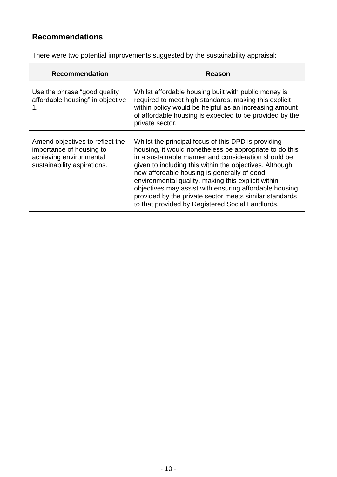# **Recommendations**

There were two potential improvements suggested by the sustainability appraisal:

| <b>Recommendation</b>                                                                                                 | Reason                                                                                                                                                                                                                                                                                                                                                                                                                                                                                                        |
|-----------------------------------------------------------------------------------------------------------------------|---------------------------------------------------------------------------------------------------------------------------------------------------------------------------------------------------------------------------------------------------------------------------------------------------------------------------------------------------------------------------------------------------------------------------------------------------------------------------------------------------------------|
| Use the phrase "good quality"<br>affordable housing" in objective<br>1.                                               | Whilst affordable housing built with public money is<br>required to meet high standards, making this explicit<br>within policy would be helpful as an increasing amount<br>of affordable housing is expected to be provided by the<br>private sector.                                                                                                                                                                                                                                                         |
| Amend objectives to reflect the<br>importance of housing to<br>achieving environmental<br>sustainability aspirations. | Whilst the principal focus of this DPD is providing<br>housing, it would nonetheless be appropriate to do this<br>in a sustainable manner and consideration should be<br>given to including this within the objectives. Although<br>new affordable housing is generally of good<br>environmental quality, making this explicit within<br>objectives may assist with ensuring affordable housing<br>provided by the private sector meets similar standards<br>to that provided by Registered Social Landlords. |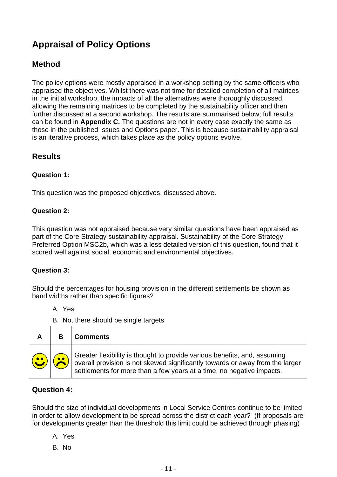# **Appraisal of Policy Options**

## **Method**

The policy options were mostly appraised in a workshop setting by the same officers who appraised the objectives. Whilst there was not time for detailed completion of all matrices in the initial workshop, the impacts of all the alternatives were thoroughly discussed, allowing the remaining matrices to be completed by the sustainability officer and then further discussed at a second workshop. The results are summarised below; full results can be found in **Appendix C.** The questions are not in every case exactly the same as those in the published Issues and Options paper. This is because sustainability appraisal is an iterative process, which takes place as the policy options evolve.

### **Results**

#### **Question 1:**

This question was the proposed objectives, discussed above.

#### **Question 2:**

This question was not appraised because very similar questions have been appraised as part of the Core Strategy sustainability appraisal. Sustainability of the Core Strategy Preferred Option MSC2b, which was a less detailed version of this question, found that it scored well against social, economic and environmental objectives.

#### **Question 3:**

Should the percentages for housing provision in the different settlements be shown as band widths rather than specific figures?

A. Yes

B. No, there should be single targets

| A                                                                         |           | <b>Comments</b>                                                                                                                                                                                                                            |
|---------------------------------------------------------------------------|-----------|--------------------------------------------------------------------------------------------------------------------------------------------------------------------------------------------------------------------------------------------|
| $\left(\begin{array}{c} \bullet \\ \bullet \\ \bullet \end{array}\right)$ | <b>6.</b> | $\mid$ Greater flexibility is thought to provide various benefits, and, assuming<br>overall provision is not skewed significantly towards or away from the larger<br>settlements for more than a few years at a time, no negative impacts. |

#### **Question 4:**

Should the size of individual developments in Local Service Centres continue to be limited in order to allow development to be spread across the district each year? (If proposals are for developments greater than the threshold this limit could be achieved through phasing)

- A. Yes
- B. No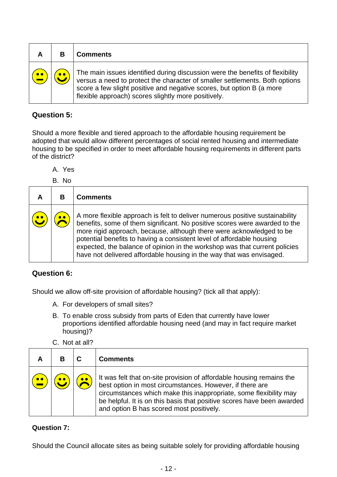|           |                  | <b>Comments</b>                                                                                                                                                                                                                                                                              |
|-----------|------------------|----------------------------------------------------------------------------------------------------------------------------------------------------------------------------------------------------------------------------------------------------------------------------------------------|
| $\bullet$ | $\bullet\bullet$ | The main issues identified during discussion were the benefits of flexibility<br>versus a need to protect the character of smaller settlements. Both options<br>score a few slight positive and negative scores, but option B (a more<br>flexible approach) scores slightly more positively. |

### **Question 5:**

Should a more flexible and tiered approach to the affordable housing requirement be adopted that would allow different percentages of social rented housing and intermediate housing to be specified in order to meet affordable housing requirements in different parts of the district?

A. Yes

B. No

|           | <b>Comments</b>                                                                                                                                                                                                                                                                                                                                                                                                                                                   |
|-----------|-------------------------------------------------------------------------------------------------------------------------------------------------------------------------------------------------------------------------------------------------------------------------------------------------------------------------------------------------------------------------------------------------------------------------------------------------------------------|
| $\bullet$ | A more flexible approach is felt to deliver numerous positive sustainability<br>benefits, some of them significant. No positive scores were awarded to the<br>more rigid approach, because, although there were acknowledged to be<br>potential benefits to having a consistent level of affordable housing<br>expected, the balance of opinion in the workshop was that current policies<br>have not delivered affordable housing in the way that was envisaged. |

#### **Question 6:**

Should we allow off-site provision of affordable housing? (tick all that apply):

- A. For developers of small sites?
- B. To enable cross subsidy from parts of Eden that currently have lower proportions identified affordable housing need (and may in fact require market housing)?
- C. Not at all?

|  |           | <b>Comments</b>                                                                                                                                                                                                                                                                                                             |
|--|-----------|-----------------------------------------------------------------------------------------------------------------------------------------------------------------------------------------------------------------------------------------------------------------------------------------------------------------------------|
|  | $\bullet$ | It was felt that on-site provision of affordable housing remains the<br>best option in most circumstances. However, if there are<br>circumstances which make this inappropriate, some flexibility may<br>be helpful. It is on this basis that positive scores have been awarded<br>and option B has scored most positively. |

#### **Question 7:**

Should the Council allocate sites as being suitable solely for providing affordable housing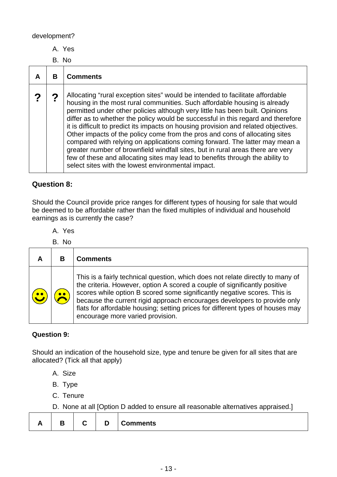development?

A. Yes

B. No

| в | <b>Comments</b>                                                                                                                                                                                                                                                                                                                                                                                                                                                                                                                                                                                                                                                                                                                                                                                              |
|---|--------------------------------------------------------------------------------------------------------------------------------------------------------------------------------------------------------------------------------------------------------------------------------------------------------------------------------------------------------------------------------------------------------------------------------------------------------------------------------------------------------------------------------------------------------------------------------------------------------------------------------------------------------------------------------------------------------------------------------------------------------------------------------------------------------------|
|   | Allocating "rural exception sites" would be intended to facilitate affordable<br>housing in the most rural communities. Such affordable housing is already<br>permitted under other policies although very little has been built. Opinions<br>differ as to whether the policy would be successful in this regard and therefore<br>it is difficult to predict its impacts on housing provision and related objectives.<br>Other impacts of the policy come from the pros and cons of allocating sites<br>compared with relying on applications coming forward. The latter may mean a<br>greater number of brownfield windfall sites, but in rural areas there are very<br>few of these and allocating sites may lead to benefits through the ability to<br>select sites with the lowest environmental impact. |

### **Question 8:**

Should the Council provide price ranges for different types of housing for sale that would be deemed to be affordable rather than the fixed multiples of individual and household earnings as is currently the case?

A. Yes

| B. No |                                                                                                                                                                                                                                                                                                                                                                                                                                           |
|-------|-------------------------------------------------------------------------------------------------------------------------------------------------------------------------------------------------------------------------------------------------------------------------------------------------------------------------------------------------------------------------------------------------------------------------------------------|
| B     | <b>Comments</b>                                                                                                                                                                                                                                                                                                                                                                                                                           |
|       | This is a fairly technical question, which does not relate directly to many of<br>the criteria. However, option A scored a couple of significantly positive<br>scores while option B scored some significantly negative scores. This is<br>because the current rigid approach encourages developers to provide only<br>flats for affordable housing; setting prices for different types of houses may<br>encourage more varied provision. |

#### **Question 9:**

Should an indication of the household size, type and tenure be given for all sites that are allocated? (Tick all that apply)

- A. Size
- B. Type
- C. Tenure

D. None at all [Option D added to ensure all reasonable alternatives appraised.]

|--|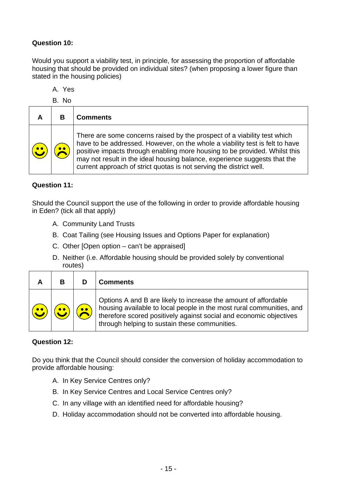#### **Question 10:**

Would you support a viability test, in principle, for assessing the proportion of affordable housing that should be provided on individual sites? (when proposing a lower figure than stated in the housing policies)

A. Yes

B. No

|           | <b>Comments</b>                                                                                                                                                                                                                                                                                                                                                                            |
|-----------|--------------------------------------------------------------------------------------------------------------------------------------------------------------------------------------------------------------------------------------------------------------------------------------------------------------------------------------------------------------------------------------------|
| $\bullet$ | There are some concerns raised by the prospect of a viability test which<br>have to be addressed. However, on the whole a viability test is felt to have<br>positive impacts through enabling more housing to be provided. Whilst this<br>may not result in the ideal housing balance, experience suggests that the<br>current approach of strict quotas is not serving the district well. |

#### **Question 11:**

Should the Council support the use of the following in order to provide affordable housing in Eden? (tick all that apply)

- A. Community Land Trusts
- B. Coat Tailing (see Housing Issues and Options Paper for explanation)
- C. Other [Open option can't be appraised]
- D. Neither (i.e. Affordable housing should be provided solely by conventional routes)

| R | Comments                                                                                                                                                                                                                                                       |
|---|----------------------------------------------------------------------------------------------------------------------------------------------------------------------------------------------------------------------------------------------------------------|
|   | Options A and B are likely to increase the amount of affordable<br>housing available to local people in the most rural communities, and<br>therefore scored positively against social and economic objectives<br>through helping to sustain these communities. |

#### **Question 12:**

Do you think that the Council should consider the conversion of holiday accommodation to provide affordable housing:

- A. In Key Service Centres only?
- B. In Key Service Centres and Local Service Centres only?
- C. In any village with an identified need for affordable housing?
- D. Holiday accommodation should not be converted into affordable housing.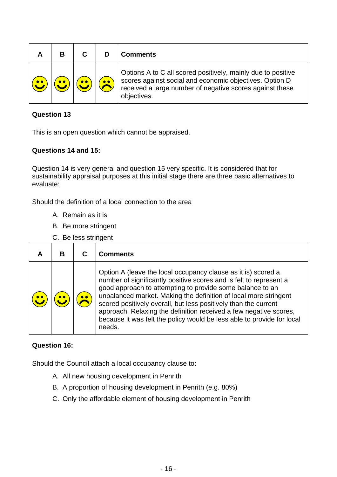|  |           | <b>Comments</b>                                                                                                                                                                                    |
|--|-----------|----------------------------------------------------------------------------------------------------------------------------------------------------------------------------------------------------|
|  | $\bullet$ | Options A to C all scored positively, mainly due to positive<br>scores against social and economic objectives. Option D<br>received a large number of negative scores against these<br>objectives. |

#### **Question 13**

This is an open question which cannot be appraised.

#### **Questions 14 and 15:**

Question 14 is very general and question 15 very specific. It is considered that for sustainability appraisal purposes at this initial stage there are three basic alternatives to evaluate:

Should the definition of a local connection to the area

- A. Remain as it is
- B. Be more stringent
- C. Be less stringent

|  | <b>Comments</b>                                                                                                                                                                                                                                                                                                                                                                                                                                                                                  |  |  |  |
|--|--------------------------------------------------------------------------------------------------------------------------------------------------------------------------------------------------------------------------------------------------------------------------------------------------------------------------------------------------------------------------------------------------------------------------------------------------------------------------------------------------|--|--|--|
|  | Option A (leave the local occupancy clause as it is) scored a<br>number of significantly positive scores and is felt to represent a<br>good approach to attempting to provide some balance to an<br>unbalanced market. Making the definition of local more stringent<br>scored positively overall, but less positively than the current<br>approach. Relaxing the definition received a few negative scores,<br>because it was felt the policy would be less able to provide for local<br>needs. |  |  |  |

#### **Question 16:**

Should the Council attach a local occupancy clause to:

- A. All new housing development in Penrith
- B. A proportion of housing development in Penrith (e.g. 80%)
- C. Only the affordable element of housing development in Penrith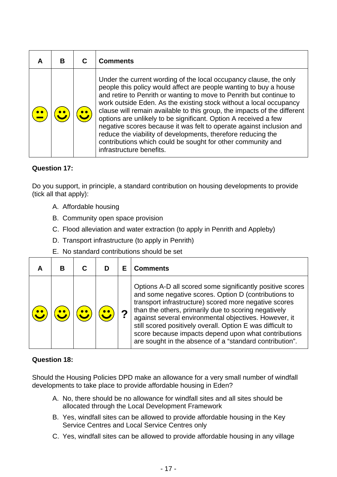| A | R | <b>Comments</b>                                                                                                                                                                                                                                                                                                                                                                                                                                                                                                                                                                                                                                                       |
|---|---|-----------------------------------------------------------------------------------------------------------------------------------------------------------------------------------------------------------------------------------------------------------------------------------------------------------------------------------------------------------------------------------------------------------------------------------------------------------------------------------------------------------------------------------------------------------------------------------------------------------------------------------------------------------------------|
|   |   | Under the current wording of the local occupancy clause, the only<br>people this policy would affect are people wanting to buy a house<br>and retire to Penrith or wanting to move to Penrith but continue to<br>work outside Eden. As the existing stock without a local occupancy<br>clause will remain available to this group, the impacts of the different<br>options are unlikely to be significant. Option A received a few<br>negative scores because it was felt to operate against inclusion and<br>reduce the viability of developments, therefore reducing the<br>contributions which could be sought for other community and<br>infrastructure benefits. |

#### **Question 17:**

Do you support, in principle, a standard contribution on housing developments to provide (tick all that apply):

- A. Affordable housing
- B. Community open space provision
- C. Flood alleviation and water extraction (to apply in Penrith and Appleby)
- D. Transport infrastructure (to apply in Penrith)
- E. No standard contributions should be set

|  |  |   | <b>Comments</b>                                                                                                                                                                                                                                                                                                                                                                                                                                                              |
|--|--|---|------------------------------------------------------------------------------------------------------------------------------------------------------------------------------------------------------------------------------------------------------------------------------------------------------------------------------------------------------------------------------------------------------------------------------------------------------------------------------|
|  |  | ◠ | Options A-D all scored some significantly positive scores<br>and some negative scores. Option D (contributions to<br>transport infrastructure) scored more negative scores<br>than the others, primarily due to scoring negatively<br>against several environmental objectives. However, it<br>still scored positively overall. Option E was difficult to<br>score because impacts depend upon what contributions<br>are sought in the absence of a "standard contribution". |

#### **Question 18:**

Should the Housing Policies DPD make an allowance for a very small number of windfall developments to take place to provide affordable housing in Eden?

- A. No, there should be no allowance for windfall sites and all sites should be allocated through the Local Development Framework
- B. Yes, windfall sites can be allowed to provide affordable housing in the Key Service Centres and Local Service Centres only
- C. Yes, windfall sites can be allowed to provide affordable housing in any village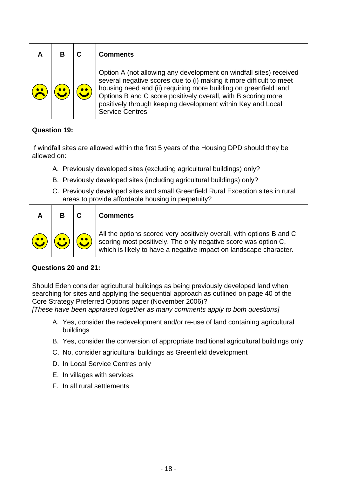|  | <b>Comments</b>                                                                                                                                                                                                                                                                                                                                                    |
|--|--------------------------------------------------------------------------------------------------------------------------------------------------------------------------------------------------------------------------------------------------------------------------------------------------------------------------------------------------------------------|
|  | Option A (not allowing any development on windfall sites) received<br>several negative scores due to (i) making it more difficult to meet<br>housing need and (ii) requiring more building on greenfield land.<br>Options B and C score positively overall, with B scoring more<br>positively through keeping development within Key and Local<br>Service Centres. |

#### **Question 19:**

If windfall sites are allowed within the first 5 years of the Housing DPD should they be allowed on:

- A. Previously developed sites (excluding agricultural buildings) only?
- B. Previously developed sites (including agricultural buildings) only?
- C. Previously developed sites and small Greenfield Rural Exception sites in rural areas to provide affordable housing in perpetuity?

|                        |                                  |                               | <b>Comments</b>                                                                                                                                                                                          |
|------------------------|----------------------------------|-------------------------------|----------------------------------------------------------------------------------------------------------------------------------------------------------------------------------------------------------|
| $\left(\bullet\right)$ | $\left( \bullet \bullet \right)$ | $\left(\bullet\bullet\right)$ | All the options scored very positively overall, with options B and C scoring most positively. The only negative score was option C,<br>which is likely to have a negative impact on landscape character. |

#### **Questions 20 and 21:**

Should Eden consider agricultural buildings as being previously developed land when searching for sites and applying the sequential approach as outlined on page 40 of the Core Strategy Preferred Options paper (November 2006)?

*[These have been appraised together as many comments apply to both questions]* 

- A. Yes, consider the redevelopment and/or re-use of land containing agricultural buildings
- B. Yes, consider the conversion of appropriate traditional agricultural buildings only
- C. No, consider agricultural buildings as Greenfield development
- D. In Local Service Centres only
- E. In villages with services
- F. In all rural settlements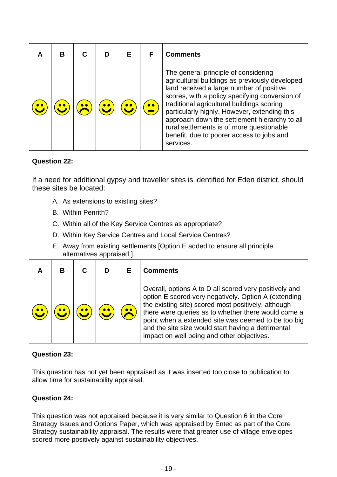| В |  |           | <b>Comments</b>                                                                                                                                                                                                                                                                                                                                                                                                                            |
|---|--|-----------|--------------------------------------------------------------------------------------------------------------------------------------------------------------------------------------------------------------------------------------------------------------------------------------------------------------------------------------------------------------------------------------------------------------------------------------------|
|   |  | $\bullet$ | The general principle of considering<br>agricultural buildings as previously developed<br>land received a large number of positive<br>scores, with a policy specifying conversion of<br>traditional agricultural buildings scoring<br>particularly highly. However, extending this<br>approach down the settlement hierarchy to all<br>rural settlements is of more questionable<br>benefit, due to poorer access to jobs and<br>services. |

#### **Question 22:**

If a need for additional gypsy and traveller sites is identified for Eden district, should these sites be located:

- A. As extensions to existing sites?
- B. Within Penrith?
- C. Within all of the Key Service Centres as appropriate?
- D. Within Key Service Centres and Local Service Centres?
- E. Away from existing settlements [Option E added to ensure all principle alternatives appraised.]

|  |  | <b>Comments</b>                                                                                                                                                                                                                                                                                                                                                                         |
|--|--|-----------------------------------------------------------------------------------------------------------------------------------------------------------------------------------------------------------------------------------------------------------------------------------------------------------------------------------------------------------------------------------------|
|  |  | Overall, options A to D all scored very positively and<br>option E scored very negatively. Option A (extending<br>the existing site) scored most positively, although<br>there were queries as to whether there would come a<br>point when a extended site was deemed to be too big<br>and the site size would start having a detrimental<br>impact on well being and other objectives. |

#### **Question 23:**

This question has not yet been appraised as it was inserted too close to publication to allow time for sustainability appraisal.

#### **Question 24:**

This question was not appraised because it is very similar to Question 6 in the Core Strategy Issues and Options Paper, which was appraised by Entec as part of the Core Strategy sustainability appraisal. The results were that greater use of village envelopes scored more positively against sustainability objectives.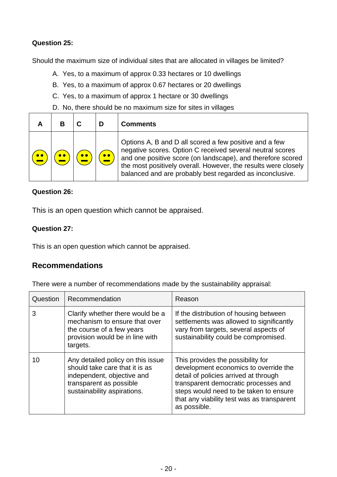#### **Question 25:**

Should the maximum size of individual sites that are allocated in villages be limited?

- A. Yes, to a maximum of approx 0.33 hectares or 10 dwellings
- B. Yes, to a maximum of approx 0.67 hectares or 20 dwellings
- C. Yes, to a maximum of approx 1 hectare or 30 dwellings
- D. No, there should be no maximum size for sites in villages

|  |           | <b>Comments</b>                                                                                                                                                                                                                                                                                                  |
|--|-----------|------------------------------------------------------------------------------------------------------------------------------------------------------------------------------------------------------------------------------------------------------------------------------------------------------------------|
|  | $\bullet$ | Options A, B and D all scored a few positive and a few<br>negative scores. Option C received several neutral scores<br>and one positive score (on landscape), and therefore scored<br>the most positively overall. However, the results were closely<br>balanced and are probably best regarded as inconclusive. |

#### **Question 26:**

This is an open question which cannot be appraised.

#### **Question 27:**

This is an open question which cannot be appraised.

### **Recommendations**

There were a number of recommendations made by the sustainability appraisal:

| Question | Recommendation                                                                                                                                              | Reason                                                                                                                                                                                                                                                              |
|----------|-------------------------------------------------------------------------------------------------------------------------------------------------------------|---------------------------------------------------------------------------------------------------------------------------------------------------------------------------------------------------------------------------------------------------------------------|
| 3        | Clarify whether there would be a<br>mechanism to ensure that over<br>the course of a few years<br>provision would be in line with<br>targets.               | If the distribution of housing between<br>settlements was allowed to significantly<br>vary from targets, several aspects of<br>sustainability could be compromised.                                                                                                 |
| 10       | Any detailed policy on this issue<br>should take care that it is as<br>independent, objective and<br>transparent as possible<br>sustainability aspirations. | This provides the possibility for<br>development economics to override the<br>detail of policies arrived at through<br>transparent democratic processes and<br>steps would need to be taken to ensure<br>that any viability test was as transparent<br>as possible. |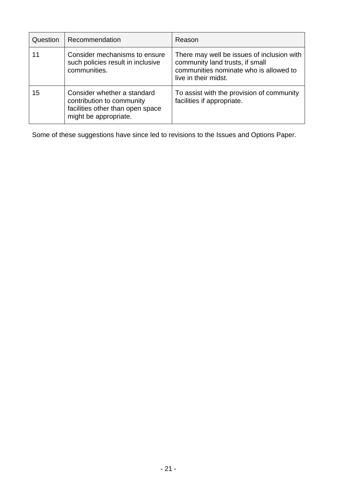| Question | Recommendation                                                                                                        | Reason                                                                                                                                          |
|----------|-----------------------------------------------------------------------------------------------------------------------|-------------------------------------------------------------------------------------------------------------------------------------------------|
| 11       | Consider mechanisms to ensure<br>such policies result in inclusive<br>communities.                                    | There may well be issues of inclusion with<br>community land trusts, if small<br>communities nominate who is allowed to<br>live in their midst. |
| 15       | Consider whether a standard<br>contribution to community<br>facilities other than open space<br>might be appropriate. | To assist with the provision of community<br>facilities if appropriate.                                                                         |

Some of these suggestions have since led to revisions to the Issues and Options Paper.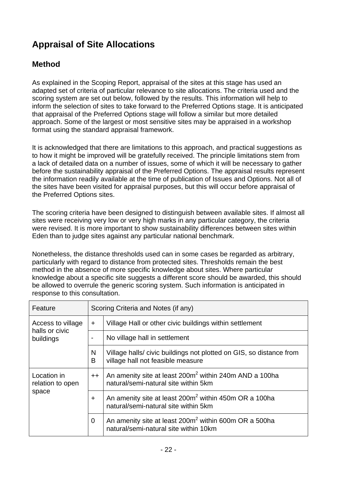# **Appraisal of Site Allocations**

## **Method**

As explained in the Scoping Report, appraisal of the sites at this stage has used an adapted set of criteria of particular relevance to site allocations. The criteria used and the scoring system are set out below, followed by the results. This information will help to inform the selection of sites to take forward to the Preferred Options stage. It is anticipated that appraisal of the Preferred Options stage will follow a similar but more detailed approach. Some of the largest or most sensitive sites may be appraised in a workshop format using the standard appraisal framework.

It is acknowledged that there are limitations to this approach, and practical suggestions as to how it might be improved will be gratefully received. The principle limitations stem from a lack of detailed data on a number of issues, some of which it will be necessary to gather before the sustainability appraisal of the Preferred Options. The appraisal results represent the information readily available at the time of publication of Issues and Options. Not all of the sites have been visited for appraisal purposes, but this will occur before appraisal of the Preferred Options sites.

The scoring criteria have been designed to distinguish between available sites. If almost all sites were receiving very low or very high marks in any particular category, the criteria were revised. It is more important to show sustainability differences between sites within Eden than to judge sites against any particular national benchmark.

Nonetheless, the distance thresholds used can in some cases be regarded as arbitrary, particularly with regard to distance from protected sites. Thresholds remain the best method in the absence of more specific knowledge about sites. Where particular knowledge about a specific site suggests a different score should be awarded, this should be allowed to overrule the generic scoring system. Such information is anticipated in response to this consultation.

| Feature                         |           | Scoring Criteria and Notes (if any)                                                                        |  |  |  |  |  |  |
|---------------------------------|-----------|------------------------------------------------------------------------------------------------------------|--|--|--|--|--|--|
| Access to village               | ÷         | Village Hall or other civic buildings within settlement                                                    |  |  |  |  |  |  |
| halls or civic<br>buildings     |           | No village hall in settlement                                                                              |  |  |  |  |  |  |
|                                 | N<br>В    | Village halls/civic buildings not plotted on GIS, so distance from<br>village hall not feasible measure    |  |  |  |  |  |  |
| Location in<br>relation to open | $++$      | An amenity site at least 200m <sup>2</sup> within 240m AND a 100ha<br>natural/semi-natural site within 5km |  |  |  |  |  |  |
| space                           | $\ddot{}$ | An amenity site at least 200m <sup>2</sup> within 450m OR a 100ha<br>natural/semi-natural site within 5km  |  |  |  |  |  |  |
|                                 | 0         | An amenity site at least 200m <sup>2</sup> within 600m OR a 500ha<br>natural/semi-natural site within 10km |  |  |  |  |  |  |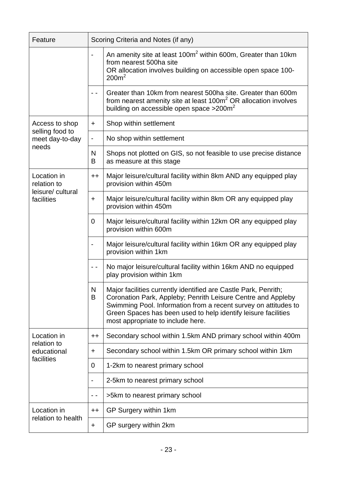| Feature                            | Scoring Criteria and Notes (if any) |                                                                                                                                                                                                                                                                                                           |  |  |  |  |  |  |
|------------------------------------|-------------------------------------|-----------------------------------------------------------------------------------------------------------------------------------------------------------------------------------------------------------------------------------------------------------------------------------------------------------|--|--|--|--|--|--|
|                                    |                                     | An amenity site at least 100m <sup>2</sup> within 600m, Greater than 10km<br>from nearest 500ha site<br>OR allocation involves building on accessible open space 100-<br>200m <sup>2</sup>                                                                                                                |  |  |  |  |  |  |
|                                    |                                     | Greater than 10km from nearest 500ha site. Greater than 600m<br>from nearest amenity site at least 100m <sup>2</sup> OR allocation involves<br>building on accessible open space $>200$ m <sup>2</sup>                                                                                                    |  |  |  |  |  |  |
| Access to shop                     | ÷                                   | Shop within settlement                                                                                                                                                                                                                                                                                    |  |  |  |  |  |  |
| selling food to<br>meet day-to-day |                                     | No shop within settlement                                                                                                                                                                                                                                                                                 |  |  |  |  |  |  |
| needs                              | N<br>B                              | Shops not plotted on GIS, so not feasible to use precise distance<br>as measure at this stage                                                                                                                                                                                                             |  |  |  |  |  |  |
| Location in<br>relation to         | $++$                                | Major leisure/cultural facility within 8km AND any equipped play<br>provision within 450m                                                                                                                                                                                                                 |  |  |  |  |  |  |
| leisure/ cultural<br>facilities    | ÷                                   | Major leisure/cultural facility within 8km OR any equipped play<br>provision within 450m                                                                                                                                                                                                                  |  |  |  |  |  |  |
|                                    | $\Omega$                            | Major leisure/cultural facility within 12km OR any equipped play<br>provision within 600m                                                                                                                                                                                                                 |  |  |  |  |  |  |
|                                    |                                     | Major leisure/cultural facility within 16km OR any equipped play<br>provision within 1km                                                                                                                                                                                                                  |  |  |  |  |  |  |
|                                    | - -                                 | No major leisure/cultural facility within 16km AND no equipped<br>play provision within 1km                                                                                                                                                                                                               |  |  |  |  |  |  |
|                                    | N<br>B                              | Major facilities currently identified are Castle Park, Penrith;<br>Coronation Park, Appleby; Penrith Leisure Centre and Appleby<br>Swimming Pool. Information from a recent survey on attitudes to<br>Green Spaces has been used to help identify leisure facilities<br>most appropriate to include here. |  |  |  |  |  |  |
| Location in                        | $++$                                | Secondary school within 1.5km AND primary school within 400m                                                                                                                                                                                                                                              |  |  |  |  |  |  |
| relation to<br>educational         | ÷                                   | Secondary school within 1.5km OR primary school within 1km                                                                                                                                                                                                                                                |  |  |  |  |  |  |
| facilities                         | 0                                   | 1-2km to nearest primary school                                                                                                                                                                                                                                                                           |  |  |  |  |  |  |
|                                    |                                     | 2-5km to nearest primary school                                                                                                                                                                                                                                                                           |  |  |  |  |  |  |
|                                    |                                     | >5km to nearest primary school                                                                                                                                                                                                                                                                            |  |  |  |  |  |  |
| Location in<br>relation to health  | $^{\mathrm{+}}$                     | GP Surgery within 1km                                                                                                                                                                                                                                                                                     |  |  |  |  |  |  |
|                                    | +                                   | GP surgery within 2km                                                                                                                                                                                                                                                                                     |  |  |  |  |  |  |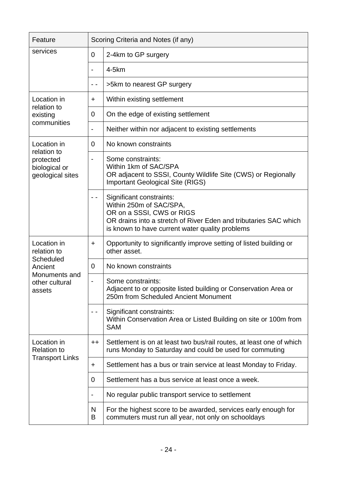| Feature                                        |                              | Scoring Criteria and Notes (if any)                                                                                                                                                                     |  |  |  |  |  |  |  |
|------------------------------------------------|------------------------------|---------------------------------------------------------------------------------------------------------------------------------------------------------------------------------------------------------|--|--|--|--|--|--|--|
| services                                       | $\mathbf 0$                  | 2-4km to GP surgery                                                                                                                                                                                     |  |  |  |  |  |  |  |
|                                                |                              | $4-5km$                                                                                                                                                                                                 |  |  |  |  |  |  |  |
|                                                | - -                          | >5km to nearest GP surgery                                                                                                                                                                              |  |  |  |  |  |  |  |
| Location in                                    | $\ddot{}$                    | Within existing settlement                                                                                                                                                                              |  |  |  |  |  |  |  |
| relation to<br>existing                        | 0                            | On the edge of existing settlement                                                                                                                                                                      |  |  |  |  |  |  |  |
| communities                                    | $\qquad \qquad \blacksquare$ | Neither within nor adjacent to existing settlements                                                                                                                                                     |  |  |  |  |  |  |  |
| Location in<br>relation to                     | 0                            | No known constraints                                                                                                                                                                                    |  |  |  |  |  |  |  |
| protected<br>biological or<br>geological sites | $\overline{\phantom{a}}$     | Some constraints:<br>Within 1km of SAC/SPA<br>OR adjacent to SSSI, County Wildlife Site (CWS) or Regionally<br><b>Important Geological Site (RIGS)</b>                                                  |  |  |  |  |  |  |  |
|                                                |                              | Significant constraints:<br>Within 250m of SAC/SPA,<br>OR on a SSSI, CWS or RIGS<br>OR drains into a stretch of River Eden and tributaries SAC which<br>is known to have current water quality problems |  |  |  |  |  |  |  |
| Location in<br>relation to                     | $\pm$                        | Opportunity to significantly improve setting of listed building or<br>other asset.                                                                                                                      |  |  |  |  |  |  |  |
| Scheduled<br>Ancient                           | 0                            | No known constraints                                                                                                                                                                                    |  |  |  |  |  |  |  |
| Monuments and<br>other cultural<br>assets      |                              | Some constraints:<br>Adjacent to or opposite listed building or Conservation Area or<br>250m from Scheduled Ancient Monument                                                                            |  |  |  |  |  |  |  |
|                                                |                              | Significant constraints:<br>Within Conservation Area or Listed Building on site or 100m from<br><b>SAM</b>                                                                                              |  |  |  |  |  |  |  |
| Location in<br><b>Relation to</b>              | $+ +$                        | Settlement is on at least two bus/rail routes, at least one of which<br>runs Monday to Saturday and could be used for commuting                                                                         |  |  |  |  |  |  |  |
| <b>Transport Links</b>                         | +                            | Settlement has a bus or train service at least Monday to Friday.                                                                                                                                        |  |  |  |  |  |  |  |
|                                                | 0                            | Settlement has a bus service at least once a week.                                                                                                                                                      |  |  |  |  |  |  |  |
|                                                |                              | No regular public transport service to settlement                                                                                                                                                       |  |  |  |  |  |  |  |
|                                                | N<br>B                       | For the highest score to be awarded, services early enough for<br>commuters must run all year, not only on schooldays                                                                                   |  |  |  |  |  |  |  |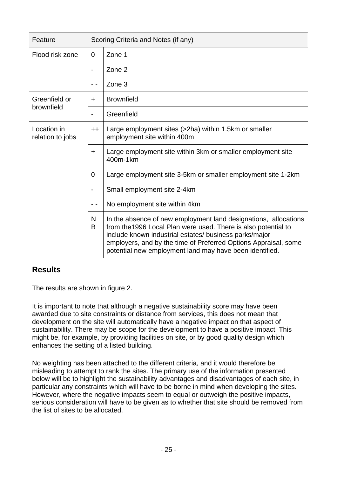| Feature                         |                          | Scoring Criteria and Notes (if any)                                                                                                                                                                                                                                                                                       |  |  |  |  |  |  |
|---------------------------------|--------------------------|---------------------------------------------------------------------------------------------------------------------------------------------------------------------------------------------------------------------------------------------------------------------------------------------------------------------------|--|--|--|--|--|--|
| Flood risk zone                 | 0                        | Zone 1                                                                                                                                                                                                                                                                                                                    |  |  |  |  |  |  |
|                                 |                          | Zone 2                                                                                                                                                                                                                                                                                                                    |  |  |  |  |  |  |
|                                 | - -                      | Zone 3                                                                                                                                                                                                                                                                                                                    |  |  |  |  |  |  |
| Greenfield or                   | $\ddot{}$                | <b>Brownfield</b>                                                                                                                                                                                                                                                                                                         |  |  |  |  |  |  |
| brownfield                      | $\overline{\phantom{0}}$ | Greenfield                                                                                                                                                                                                                                                                                                                |  |  |  |  |  |  |
| Location in<br>relation to jobs | $++$                     | Large employment sites (>2ha) within 1.5km or smaller<br>employment site within 400m                                                                                                                                                                                                                                      |  |  |  |  |  |  |
|                                 | $\ddot{}$                | Large employment site within 3km or smaller employment site<br>400m-1km                                                                                                                                                                                                                                                   |  |  |  |  |  |  |
|                                 | 0                        | Large employment site 3-5km or smaller employment site 1-2km                                                                                                                                                                                                                                                              |  |  |  |  |  |  |
|                                 |                          | Small employment site 2-4km                                                                                                                                                                                                                                                                                               |  |  |  |  |  |  |
|                                 |                          | No employment site within 4km                                                                                                                                                                                                                                                                                             |  |  |  |  |  |  |
|                                 | N<br>B                   | In the absence of new employment land designations, allocations<br>from the 1996 Local Plan were used. There is also potential to<br>include known industrial estates/ business parks/major<br>employers, and by the time of Preferred Options Appraisal, some<br>potential new employment land may have been identified. |  |  |  |  |  |  |

### **Results**

The results are shown in figure 2.

It is important to note that although a negative sustainability score may have been awarded due to site constraints or distance from services, this does not mean that development on the site will automatically have a negative impact on that aspect of sustainability. There may be scope for the development to have a positive impact. This might be, for example, by providing facilities on site, or by good quality design which enhances the setting of a listed building.

No weighting has been attached to the different criteria, and it would therefore be misleading to attempt to rank the sites. The primary use of the information presented below will be to highlight the sustainability advantages and disadvantages of each site, in particular any constraints which will have to be borne in mind when developing the sites. However, where the negative impacts seem to equal or outweigh the positive impacts, serious consideration will have to be given as to whether that site should be removed from the list of sites to be allocated.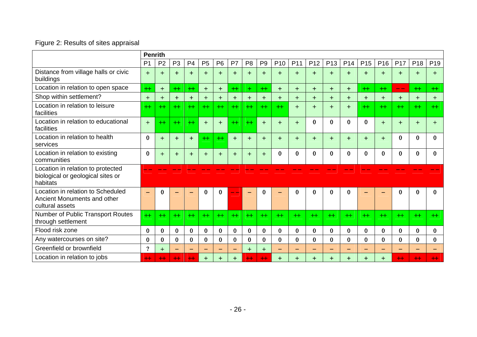## Figure 2: Results of sites appraisal

|                                                                                     | <b>Penrith</b> |                |                          |                |                |                |          |                |                |                 |                 |                 |                 |          |                 |                 |                 |                 |                 |
|-------------------------------------------------------------------------------------|----------------|----------------|--------------------------|----------------|----------------|----------------|----------|----------------|----------------|-----------------|-----------------|-----------------|-----------------|----------|-----------------|-----------------|-----------------|-----------------|-----------------|
|                                                                                     | P <sub>1</sub> | P <sub>2</sub> | P <sub>3</sub>           | P <sub>4</sub> | P <sub>5</sub> | P <sub>6</sub> | P7       | P <sub>8</sub> | P <sub>9</sub> | P <sub>10</sub> | P <sub>11</sub> | P <sub>12</sub> | P <sub>13</sub> | P14      | P <sub>15</sub> | P <sub>16</sub> | P <sub>17</sub> | P <sub>18</sub> | P <sub>19</sub> |
| Distance from village halls or civic<br>buildings                                   | $+$            | $\ddot{}$      | $+$                      | $+$            | $+$            | $+$            | $\div$   | $+$            | $+$            | $+$             | $+$             | $+$             | $+$             | $+$      | $+$             | $\div$          | $\div$          |                 | $\pm$           |
| Location in relation to open space                                                  | $+$            | $+$            | $+$                      | $++$           | $+$            | $+$            | $+$      | $+$            | $+$            | $+$             | $+$             | $+$             | $+$             | $+$      | $+$             | $^{+}$          | $ -$            | $+$             | $+$             |
| Shop within settlement?                                                             | $+$            | $+$            | $+$                      | $+$            | $+$            | $+$            | $+$      | $+$            | $+$            | $+$             | $+$             | $+$             | $+$             | $+$      | $+$             | $+$             | $\div$          | $+$             | $+$             |
| Location in relation to leisure<br>facilities                                       | $+$            | $^{+}$         | $+$                      | $+$            | $+$            | $+$            | $^{++}$  | $+$            | $+$            | $^{+}$          | $+$             | $+$             | $+$             | $+$      | $+$             | $+$             | $^{+}$          | $+$             | $+$             |
| Location in relation to educational<br>facilities                                   | $+$            | $^{++}$        | $+$                      | $^{++}$        | $+$            | $+$            | $^{++}$  | $+$            | $+$            | $+$             | $+$             | $\Omega$        | $\bf{0}$        | $\Omega$ | $\bf{0}$        | $+$             | $\div$          | $\div$          | $\pm$           |
| Location in relation to health<br>services                                          | $\bf{0}$       | $+$            | $+$                      | $+$            | $+$            | $+$            | $+$      | $+$            | $+$            | $+$             | $+$             | $+$             | $+$             | $+$      | $+$             | $+$             | $\mathbf{0}$    | 0               | 0               |
| Location in relation to existing<br>communities                                     | $\bf{0}$       | $+$            | $+$                      | $+$            | $+$            | $+$            | $+$      | $+$            | $+$            | 0               | $\bf{0}$        | $\Omega$        | $\bf{0}$        | $\Omega$ | $\bf{0}$        | $\bf{0}$        | $\mathbf 0$     | 0               | 0               |
| Location in relation to protected<br>biological or geological sites or<br>habitats  |                |                |                          |                |                |                |          |                |                |                 |                 |                 |                 |          |                 |                 |                 |                 |                 |
| Location in relation to Scheduled<br>Ancient Monuments and other<br>cultural assets |                |                |                          |                | $\bf{0}$       | $\bf{0}$       |          |                | 0              |                 | 0               | 0               | $\bf{0}$        |          |                 |                 | 0               |                 | 0               |
| Number of Public Transport Routes<br>through settlement                             | $+$            | $^{+}$         | $^{+}$                   | $+$            | $+$            | $^{+}$         | $^{+}$   | $^{+}$         | $+$            | $+$             | $+$             | $+$             | $+$             | $^{+}$   | $+$             | $+$             | $^{+}$          | $+$             | $+$             |
| Flood risk zone                                                                     | $\bf{0}$       | $\bf{0}$       | $\bf{0}$                 | 0              | $\bf{0}$       | $\bf{0}$       | $\bf{0}$ | $\mathbf{0}$   | $\bf{0}$       | 0               | $\bf{0}$        | $\bf{0}$        | $\bf{0}$        | $\bf{0}$ | $\bf{0}$        | $\bf{0}$        | $\bf{0}$        | 0               | 0               |
| Any watercourses on site?                                                           | $\bf{0}$       | 0              | $\bf{0}$                 | $\bf{0}$       | $\bf{0}$       | $\bf{0}$       | $\bf{0}$ | $\bf{0}$       | $\bf{0}$       | $\bf{0}$        | $\bf{0}$        | $\bf{0}$        | $\bf{0}$        | $\bf{0}$ | $\bf{0}$        | 0               | $\bf{0}$        | $\bf{0}$        | $\bf{0}$        |
| Greenfield or brownfield                                                            | $\gamma$       | $+$            | $\overline{\phantom{0}}$ |                | <u>—</u>       | $-$            |          | $+$            | $+$            |                 | $-$             |                 |                 |          |                 |                 |                 |                 |                 |
| Location in relation to jobs                                                        | $+$            | $+$            | $+$                      | $+$            | $+$            | $+$            |          | $+$            | $+$            |                 | $\div$          | $\div$          | $\div$          |          | $+$             | $\div$          | $+$             | $+$             | $^{++}$         |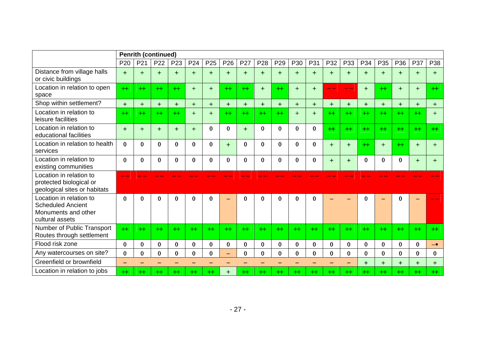|                                                                                               | <b>Penrith (continued)</b> |              |                 |          |                 |                 |                          |             |                 |                 |          |              |          |          |          |              |          |         |          |
|-----------------------------------------------------------------------------------------------|----------------------------|--------------|-----------------|----------|-----------------|-----------------|--------------------------|-------------|-----------------|-----------------|----------|--------------|----------|----------|----------|--------------|----------|---------|----------|
|                                                                                               | P <sub>20</sub>            | P21          | P <sub>22</sub> | P23      | P <sub>24</sub> | P <sub>25</sub> | P <sub>26</sub>          | P27         | P <sub>28</sub> | P <sub>29</sub> | P30      | P31          | P32      | P33      | P34      | P35          | P36      | P37     | P38      |
| Distance from village halls<br>or civic buildings                                             | $+$                        | $+$          | $+$             | $+$      | $+$             | $+$             | $+$                      | $+$         | $+$             | $+$             | $+$      | $+$          | $+$      | $+$      | $+$      | $+$          | $+$      | $+$     | $+$      |
| Location in relation to open<br>space                                                         | $+$                        | $+$          | $+$             | $+$      | $+$             | $+$             | $^{+}$                   | $^{+}$      | $+$             | $+$             | $+$      | $+$          |          |          | $+$      | $^{+}$       | $+$      | $+$     | $+$      |
| Shop within settlement?                                                                       | $+$                        | $+$          | $+$             | $+$      | $+$             | $+$             | $+$                      | $+$         | $+$             | $+$             | $+$      | $+$          | $+$      | $\ddag$  | $+$      | $\div$       | $+$      | $+$     | $+$      |
| Location in relation to<br>leisure facilities                                                 | $+$                        | $+$          | $+$             | $+$      | $+$             | $+$             | $+$                      | $+$         | $+$             | $+$             | $+$      | $+$          | $+$      | $+$      | $+$      | $^{+}$       | $+$      | $^{+}$  | $+$      |
| Location in relation to<br>educational facilities                                             | $+$                        | $+$          | $+$             | $+$      | $+$             | $\bf{0}$        | $\bf{0}$                 | $+$         | $\mathbf{0}$    | 0               | $\bf{0}$ | $\mathbf{0}$ | $+$      | $+$      | $+$      | $^{++}$      | $+$      | $+$     | $+$      |
| Location in relation to health<br>services                                                    | $\bf{0}$                   | $\mathbf{0}$ | $\bf{0}$        | $\bf{0}$ | $\bf{0}$        | $\bf{0}$        | $+$                      | $\bf{0}$    | $\bf{0}$        | 0               | $\bf{0}$ | $\bf{0}$     | $+$      | $+$      | $+$      | $+$          | $+$      | $+$     | $+$      |
| Location in relation to<br>existing communities                                               | $\bf{0}$                   | $\Omega$     | $\Omega$        | $\bf{0}$ | $\bf{0}$        | $\bf{0}$        | $\mathbf{0}$             | $\bf{0}$    | $\mathbf 0$     | 0               | $\bf{0}$ | $\bf{0}$     | $+$      | $+$      | $\bf{0}$ | $\mathbf{0}$ | $\bf{0}$ | $+$     | $\pm$    |
| Location in relation to<br>protected biological or<br>geological sites or habitats            |                            |              |                 |          |                 |                 |                          |             |                 |                 |          |              |          |          |          |              |          |         |          |
| Location in relation to<br><b>Scheduled Ancient</b><br>Monuments and other<br>cultural assets | $\mathbf{0}$               | 0            | $\bf{0}$        | 0        | $\bf{0}$        | 0               | $\overline{\phantom{0}}$ | $\Omega$    | $\Omega$        | ∩               | $\bf{0}$ | 0            |          |          | $\bf{0}$ |              | $\Omega$ |         |          |
| Number of Public Transport<br>Routes through settlement                                       | $+$                        | $+$          | $+$             | $+$      | $+$             | $^{+}$          | $^{+}$                   | $^{++}$     | $+$             | $^{+}$          | $+$      | $^{+}$       | $+$      | $+$      | $+$      | $^{++}$      | $+$      | $+$     | $+$      |
| Flood risk zone                                                                               | $\bf{0}$                   | $\mathbf{0}$ | $\bf{0}$        | $\bf{0}$ | $\bf{0}$        | $\bf{0}$        | $\bf{0}$                 | $\bf{0}$    | $\bf{0}$        | 0               | $\bf{0}$ | $\bf{0}$     | $\bf{0}$ | $\bf{0}$ | $\bf{0}$ | $\mathbf{0}$ | $\bf{0}$ | 0       | $-*$     |
| Any watercourses on site?                                                                     | $\bf{0}$                   | $\bf{0}$     | $\bf{0}$        | $\bf{0}$ | $\bf{0}$        | $\bf{0}$        | $\equiv$                 | $\bf{0}$    | $\bf{0}$        | $\Omega$        | $\bf{0}$ | $\Omega$     | $\bf{0}$ | $\Omega$ | $\bf{0}$ | $\bf{0}$     | $\Omega$ | 0       | $\bf{0}$ |
| Greenfield or brownfield                                                                      |                            |              |                 |          |                 |                 |                          |             |                 |                 |          |              |          |          | $+$      | $+$          | $+$      | $\pm$   | $+$      |
| Location in relation to jobs                                                                  | $^{+}$                     | $^{++}$      | $^{+}$          | $^{++}$  | $^{+}$          | $^{++}$         | $\div$                   | $^{\rm ++}$ | $^{++}$         | $^+$            | $+$      | $^{+}$       | $+$      | $+$      | $^{++}$  | $^{++}$      | $^{+}$   | $^{++}$ | $+$      |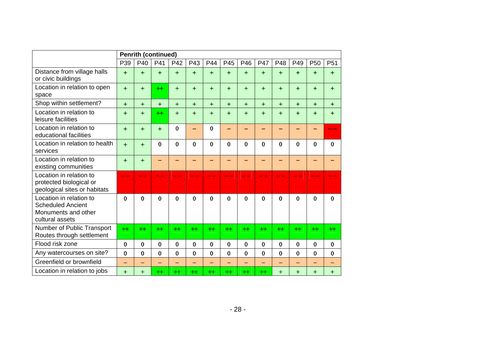|                                                                                               | <b>Penrith (continued)</b> |          |                 |              |          |                          |                          |                          |                          |           |                          |                 |                 |
|-----------------------------------------------------------------------------------------------|----------------------------|----------|-----------------|--------------|----------|--------------------------|--------------------------|--------------------------|--------------------------|-----------|--------------------------|-----------------|-----------------|
|                                                                                               | P39                        | P40      | P41             | P42          | P43      | P44                      | P45                      | P46                      | <b>P47</b>               | P48       | P49                      | P <sub>50</sub> | P <sub>51</sub> |
| Distance from village halls<br>or civic buildings                                             | $+$                        | $+$      | $+$             | $+$          | $+$      | $+$                      | $+$                      | $+$                      | $+$                      | $+$       | $+$                      | $+$             | $+$             |
| Location in relation to open<br>space                                                         | $+$                        | $+$      | $+$             | $+$          | $+$      | $+$                      | $+$                      | $+$                      | $+$                      | $+$       | $+$                      | $+$             | $+$             |
| Shop within settlement?                                                                       | $+$                        | $+$      | $+$             | $+$          | $+$      | $+$                      | $+$                      | $+$                      | $+$                      | $+$       | $+$                      | $+$             | $\div$          |
| Location in relation to<br>leisure facilities                                                 | $+$                        | $+$      | $++$            | $+$          | $+$      | $+$                      | $+$                      | $+$                      | $+$                      | $\ddot{}$ | $+$                      | $+$             | $\ddot{}$       |
| Location in relation to<br>educational facilities                                             | $+$                        | $+$      | $+$             | $\bf{0}$     |          | $\bf{0}$                 | -                        |                          |                          |           |                          |                 |                 |
| Location in relation to health<br>services                                                    | $+$                        | $+$      | $\bf{0}$        | $\bf{0}$     | $\bf{0}$ | $\bf{0}$                 | $\bf{0}$                 | $\bf{0}$                 | $\bf{0}$                 | $\bf{0}$  | $\bf{0}$                 | $\bf{0}$        | $\bf{0}$        |
| Location in relation to<br>existing communities                                               | $+$                        | $+$      |                 |              |          |                          |                          |                          |                          |           |                          |                 |                 |
| Location in relation to<br>protected biological or<br>geological sites or habitats            |                            |          |                 |              |          |                          |                          |                          |                          |           |                          |                 |                 |
| Location in relation to<br><b>Scheduled Ancient</b><br>Monuments and other<br>cultural assets | $\bf{0}$                   | $\bf{0}$ | $\bf{0}$        | $\mathbf{0}$ | $\bf{0}$ | $\bf{0}$                 | $\bf{0}$                 | $\bf{0}$                 | $\bf{0}$                 | $\bf{0}$  | $\bf{0}$                 | $\bf{0}$        | $\bf{0}$        |
| Number of Public Transport<br>Routes through settlement                                       | $+$                        | $+$      | $+$             | $+$          | $+$      | $+$                      | $+$                      | $+$                      | $+$                      | $+$       | $^{++}$                  | $+$             | $^{+}$          |
| Flood risk zone                                                                               | $\bf{0}$                   | $\bf{0}$ | $\bf{0}$        | $\bf{0}$     | $\bf{0}$ | $\bf{0}$                 | $\bf{0}$                 | $\bf{0}$                 | $\bf{0}$                 | $\bf{0}$  | $\bf{0}$                 | $\bf{0}$        | $\bf{0}$        |
| Any watercourses on site?                                                                     | $\bf{0}$                   | $\bf{0}$ | $\bf{0}$        | $\bf{0}$     | $\bf{0}$ | $\bf{0}$                 | $\bf{0}$                 | $\bf{0}$                 | $\bf{0}$                 | $\bf{0}$  | $\bf{0}$                 | $\bf{0}$        | $\bf{0}$        |
| Greenfield or brownfield                                                                      | $\overline{\phantom{0}}$   | ÷        |                 |              |          | $\overline{\phantom{0}}$ | $\overline{\phantom{0}}$ | $\overline{\phantom{0}}$ | $\overline{\phantom{0}}$ | -         | $\overline{\phantom{0}}$ |                 |                 |
| Location in relation to jobs                                                                  | $+$                        | $+$      | $^{\mathrm{+}}$ | $+$          | $^{+}$   | $^{++}$                  | $^{++}$                  | $^{+}$                   | $^{+}$                   | $\ddot{}$ | $\ddot{}$                | $+$             | $\pm$           |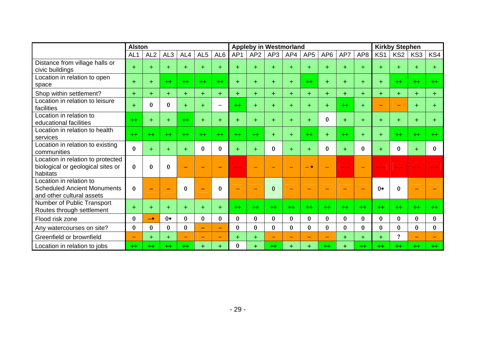|                                                                                            | <b>Alston</b>            |                 |                 |              |                 |                          |              | <b>Appleby in Westmorland</b> |          |          |                 |                 |           |                 |                 |                 | <b>Kirkby Stephen</b> |          |  |  |  |
|--------------------------------------------------------------------------------------------|--------------------------|-----------------|-----------------|--------------|-----------------|--------------------------|--------------|-------------------------------|----------|----------|-----------------|-----------------|-----------|-----------------|-----------------|-----------------|-----------------------|----------|--|--|--|
|                                                                                            | AL <sub>1</sub>          | AL <sub>2</sub> | AL <sub>3</sub> | AL4          | AL <sub>5</sub> | AL <sub>6</sub>          | AP1          | AP <sub>2</sub>               | AP3      | AP4      | AP <sub>5</sub> | AP <sub>6</sub> | AP7       | AP <sub>8</sub> | KS <sub>1</sub> | KS <sub>2</sub> | KS3                   | KS4      |  |  |  |
| Distance from village halls or<br>civic buildings                                          | $+$                      | $+$             | $+$             | $+$          | $+$             | $+$                      | $+$          | $+$                           | $+$      | $+$      | $+$             | $+$             |           | $+$             | $\ddot{}$       | $+$             |                       |          |  |  |  |
| Location in relation to open<br>space                                                      | $+$                      | $+$             | $+$             | $+$          | $+$             | $+$                      | $+$          | $+$                           | $+$      | $+$      | $+$             | $+$             | $+$       | $+$             | $+$             | $+$             | $+$                   | $+$      |  |  |  |
| Shop within settlement?                                                                    | $+$                      | $+$             | $+$             | $+$          | $+$             | $+$                      | $+$          | $+$                           | $+$      | $+$      | $+$             | $+$             | $+$       | $+$             | $+$             | $+$             | $+$                   | $+$      |  |  |  |
| Location in relation to leisure<br>facilities                                              | $+$                      | $\bf{0}$        | $\bf{0}$        | $+$          | $+$             | $\qquad \qquad$          | $+$          | $+$                           | $+$      | $+$      | $+$             | $+$             | $+$       | $+$             | -               | ۰               | $+$                   | $\div$   |  |  |  |
| Location in relation to<br>educational facilities                                          | $+$                      | $+$             | $+$             | $+$          | $+$             | $+$                      | $+$          | $+$                           | $+$      | $\div$   | $+$             | $\bf{0}$        | $+$       | $+$             | $\ddot{}$       | $+$             | $+$                   |          |  |  |  |
| Location in relation to health<br>services                                                 | $^{+}$                   | $^{+}$          | $+$             | $+$          | $+$             | $^{++}$                  | $^{+}$       | $+$                           | $+$      | $+$      | $+$             | $+$             | $+$       | $+$             | $+$             | $^{++}$         | $+$                   | $^{+}$   |  |  |  |
| Location in relation to existing<br>communities                                            | $\bf{0}$                 | $+$             | $+$             | $+$          | $\bf{0}$        | $\bf{0}$                 | $+$          | $+$                           | $\bf{0}$ | $+$      | $+$             | $\bf{0}$        | ÷         | $\bf{0}$        | $+$             | $\mathbf{0}$    |                       | 0        |  |  |  |
| Location in relation to protected<br>biological or geological sites or<br>habitats         | $\bf{0}$                 | $\bf{0}$        | $\bf{0}$        |              |                 | ــ                       |              |                               |          |          | $-$ *           |                 |           |                 |                 |                 |                       |          |  |  |  |
| Location in relation to<br><b>Scheduled Ancient Monuments</b><br>and other cultural assets | $\bf{0}$                 | <b>College</b>  |                 | $\Omega$     |                 | 0                        |              | ÷                             | $\Omega$ |          | <b>College</b>  |                 |           |                 | $0*$            | $\Omega$        |                       |          |  |  |  |
| Number of Public Transport<br>Routes through settlement                                    | $\ddot{}$                | $+$             | $+$             | $+$          | $+$             | $+$                      | $+$          | $+$                           | $+$      | $+$      | $+$             | $+$             | $+$       | $+$             | $+$             | $+$             | $+$                   | $^{++}$  |  |  |  |
| Flood risk zone                                                                            | $\bf{0}$                 | $-*$            | $0*$            | $\mathbf{0}$ | $\bf{0}$        | $\bf{0}$                 | $\bf{0}$     | $\bf{0}$                      | $\bf{0}$ | $\bf{0}$ | $\bf{0}$        | 0               | $\bf{0}$  | $\bf{0}$        | $\bf{0}$        | $\bf{0}$        | $\bf{0}$              | $\bf{0}$ |  |  |  |
| Any watercourses on site?                                                                  | $\bf{0}$                 | $\bf{0}$        | $\bf{0}$        | $\bf{0}$     |                 | $\qquad \qquad$          | $\mathbf{0}$ | $\bf{0}$                      | $\bf{0}$ | $\bf{0}$ | $\bf{0}$        | $\bf{0}$        | 0         | $\bf{0}$        | $\bf{0}$        | $\bf{0}$        | $\bf{0}$              | $\Omega$ |  |  |  |
| Greenfield or brownfield                                                                   | $\overline{\phantom{0}}$ | $+$             | $+$             |              |                 | $\overline{\phantom{0}}$ | $+$          | $+$                           |          |          | $\sim$          |                 | $\div$    | $+$             | $+$             | $\Omega$        |                       |          |  |  |  |
| Location in relation to jobs                                                               | $^{+}$                   | $^+$            | $^{+}$          | $^{++}$      | $\pm$           | $+$                      | 0            | $+$                           | $^{++}$  | $\pm$    | $+$             | $^{++}$         | $\ddot{}$ | $^{++}$         | $^{+}$          | $^{+}$          | $+$                   | $^{++}$  |  |  |  |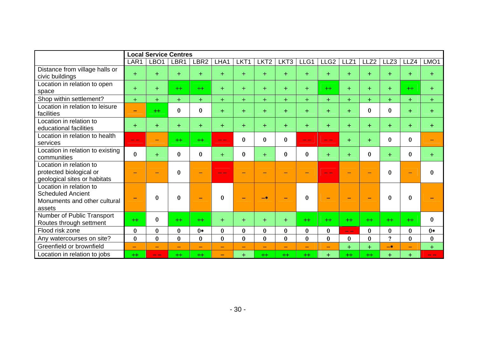|                                                                                               | <b>Local Service Centres</b> |                          |                          |                          |                          |          |                  |                          |                          |                                |           |                  |              |                          |          |
|-----------------------------------------------------------------------------------------------|------------------------------|--------------------------|--------------------------|--------------------------|--------------------------|----------|------------------|--------------------------|--------------------------|--------------------------------|-----------|------------------|--------------|--------------------------|----------|
|                                                                                               | LAR1                         | LBO <sub>1</sub>         | LBR1                     | LBR <sub>2</sub>         | LHA1                     | LKT1     | LKT <sub>2</sub> | LKT3                     | LLG1                     | LLG <sub>2</sub>               | LLZ1      | LLZ <sub>2</sub> | LLZ3         | LLZ4                     | LMO1     |
| Distance from village halls or<br>civic buildings                                             | $+$                          | $+$                      | $+$                      | $+$                      | $+$                      | $+$      | $+$              | $+$                      | $+$                      | $+$                            | $+$       | $+$              | $+$          | $+$                      | $+$      |
| Location in relation to open<br>space                                                         | $+$                          | $+$                      | $+$                      | $+$                      | $+$                      | $+$      | $+$              | $+$                      | $+$                      | $+$                            | $+$       | $+$              | $+$          | $+$                      | $+$      |
| Shop within settlement?                                                                       | $+$                          | $+$                      | $+$                      | $+$                      | $+$                      | $+$      | $+$              | $+$                      | $+$                      | $+$                            | $+$       | $+$              | $+$          | $+$                      | $+$      |
| Location in relation to leisure<br>facilities                                                 | ٠                            | $+$                      | $\bf{0}$                 | $\bf{0}$                 | $+$                      | $+$      | $+$              | $+$                      | $+$                      | $+$                            | $+$       | $\bf{0}$         | $\bf{0}$     | $+$                      | $+$      |
| Location in relation to<br>educational facilities                                             | $+$                          | $+$                      | $+$                      | $+$                      | $+$                      | $+$      | $+$              | $+$                      | $+$                      | $+$                            | $+$       | $+$              | $+$          | $+$                      | $+$      |
| Location in relation to health<br>services                                                    | $ -$                         |                          | $+$                      | $+$                      | $ -$                     | $\bf{0}$ | $\bf{0}$         | $\bf{0}$                 | $- -$                    | $ -$                           | $\ddot{}$ | $+$              | $\mathbf{0}$ | $\bf{0}$                 | -        |
| Location in relation to existing<br>communities                                               | $\bf{0}$                     | $+$                      | $\bf{0}$                 | $\bf{0}$                 | $+$                      | $\bf{0}$ | $+$              | $\bf{0}$                 | $\bf{0}$                 | $+$                            | $+$       | 0                | $+$          | $\bf{0}$                 | $+$      |
| Location in relation to<br>protected biological or<br>geological sites or habitats            |                              |                          | $\bf{0}$                 |                          |                          |          |                  |                          |                          |                                |           |                  | $\Omega$     | $\sim$                   | $\bf{0}$ |
| Location in relation to<br><b>Scheduled Ancient</b><br>Monuments and other cultural<br>assets |                              | $\bf{0}$                 | $\bf{0}$                 |                          | $\bf{0}$                 |          | $-*$             |                          | $\Omega$                 |                                |           |                  | $\Omega$     | $\bf{0}$                 |          |
| Number of Public Transport<br>Routes through settment                                         | $+$                          | $\bf{0}$                 | $+$                      | $+$                      | $+$                      | $+$      | $+$              | $+$                      | $+$                      | $+$                            | $+$       | $+$              | $+$          | $+$                      | $\bf{0}$ |
| Flood risk zone                                                                               | $\bf{0}$                     | $\bf{0}$                 | $\bf{0}$                 | $0*$                     | $\bf{0}$                 | $\bf{0}$ | $\bf{0}$         | $\bf{0}$                 | $\bf{0}$                 | $\bf{0}$                       | -- --     | $\bf{0}$         | $\bf{0}$     | $\bf{0}$                 | $0*$     |
| Any watercourses on site?                                                                     | $\bf{0}$                     | $\bf{0}$                 | $\bf{0}$                 | $\bf{0}$                 | $\mathbf{0}$             | $\bf{0}$ | $\mathbf{0}$     | $\bf{0}$                 | $\bf{0}$                 | $\bf{0}$                       | $\bf{0}$  | $\bf{0}$         | $\mathbf{Q}$ | $\bf{0}$                 | $\bf{0}$ |
| Greenfield or brownfield                                                                      | $\overline{\phantom{0}}$     | $\overline{\phantom{0}}$ | $\overline{\phantom{0}}$ | $\overline{\phantom{0}}$ | $\overline{\phantom{0}}$ | $-$      | $-$              | $\overline{\phantom{0}}$ | $\overline{\phantom{0}}$ | $\qquad \qquad \longleftarrow$ | $+$       | $+$              | $-*$         | $\overline{\phantom{0}}$ | $+$      |
| Location in relation to jobs                                                                  | $+$                          | ---                      | $+$                      | $+$                      | $\overline{\phantom{0}}$ | $+$      | $+$              | $+$                      | $+$                      | $+$                            | $+$       | $+$              | $+$          | $+$                      | - -      |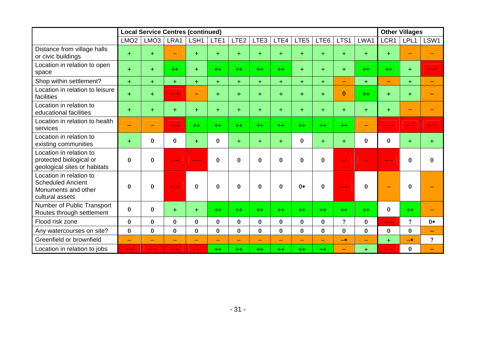|                                                                                               |                              | <b>Local Service Centres (continued)</b> |                          |                          |                          |                          |                          |              |                          |                          |                            |                          | <b>Other Villages</b>    |                          |                   |  |
|-----------------------------------------------------------------------------------------------|------------------------------|------------------------------------------|--------------------------|--------------------------|--------------------------|--------------------------|--------------------------|--------------|--------------------------|--------------------------|----------------------------|--------------------------|--------------------------|--------------------------|-------------------|--|
|                                                                                               | LMO <sub>2</sub>             | LMO <sub>3</sub>                         | LRA1                     | LSH1                     | LTE <sub>1</sub>         | LTE <sub>2</sub>         | LTE3                     | LTE4         | LTE <sub>5</sub>         | LTE6                     | LTS1                       | LWA1                     | LCR1                     | LPL1                     | LSW1              |  |
| Distance from village halls<br>or civic buildings                                             | $+$                          | $+$                                      |                          | $+$                      | $+$                      | $+$                      | $+$                      | $+$          | $+$                      | $+$                      | $+$                        | $+$                      | $+$                      |                          |                   |  |
| Location in relation to open<br>space                                                         | $+$                          | $+$                                      | $+$                      | $+$                      | $+$                      | $+$                      | $+$                      | $+$          | $+$                      | $+$                      | $+$                        | $+$                      | $+$                      | $+$                      |                   |  |
| Shop within settlement?                                                                       | $+$                          | $+$                                      | $+$                      | $+$                      | $+$                      | $+$                      | $+$                      | $+$          | $+$                      | $+$                      | $\overline{\phantom{0}}$   | $+$                      | $\overline{\phantom{0}}$ | $+$                      |                   |  |
| Location in relation to leisure<br>facilities                                                 | $+$                          | $+$                                      | $\sim$ $\sim$            |                          | $+$                      | $+$                      | $+$                      | $+$          | $+$                      | $+$                      | $\bf{0}$                   | $+$                      | $+$                      | $+$                      |                   |  |
| Location in relation to<br>educational facilities                                             | $+$                          | $+$                                      | $+$                      | $+$                      | $+$                      | $+$                      | $+$                      | $+$          | $+$                      | $+$                      | $+$                        | $+$                      | $+$                      | $\overline{\phantom{0}}$ |                   |  |
| Location in relation to health<br>services                                                    | $\qquad \qquad \blacksquare$ | $\overline{\phantom{0}}$                 | --                       | $+$                      | $+$                      | $+$                      | $+$                      | $+$          | $+$                      | $+$                      | $+$                        | ۰                        |                          |                          |                   |  |
| Location in relation to<br>existing communities                                               | $+$                          | 0                                        | $\bf{0}$                 | $+$                      | $\bf{0}$                 | $+$                      | $+$                      | $+$          | $\bf{0}$                 | $+$                      | $+$                        | $\bf{0}$                 | $\mathbf{0}$             | $+$                      | $+$               |  |
| Location in relation to<br>protected biological or<br>geological sites or habitats            | $\bf{0}$                     | $\bf{0}$                                 |                          |                          | $\bf{0}$                 | 0                        | $\bf{0}$                 | $\bf{0}$     | $\bf{0}$                 | $\bf{0}$                 |                            |                          |                          | $\bf{0}$                 | $\bf{0}$          |  |
| Location in relation to<br><b>Scheduled Ancient</b><br>Monuments and other<br>cultural assets | $\bf{0}$                     | $\bf{0}$                                 |                          | $\Omega$                 | $\mathbf{0}$             | $\mathbf{0}$             | $\bf{0}$                 | $\mathbf{0}$ | $0*$                     | $\Omega$                 |                            | $\bf{0}$                 | ٠                        | $\mathbf{0}$             |                   |  |
| Number of Public Transport<br>Routes through settlement                                       | $\bf{0}$                     | $\bf{0}$                                 | $+$                      | $+$                      | $+$                      | $+$                      | $+$                      | $^{+}$       | $+$                      | $+$                      | $+$                        | $+$                      | $\bf{0}$                 | $+$                      |                   |  |
| Flood risk zone                                                                               | $\bf{0}$                     | $\bf{0}$                                 | $\mathbf{0}$             | $\bf{0}$                 | $\bf{0}$                 | $\bf{0}$                 | $\bf{0}$                 | $\bf{0}$     | $\bf{0}$                 | $\bf{0}$                 | $\boldsymbol{\mathcal{P}}$ | $\bf{0}$                 | $- -$                    | $\gamma$                 | $0*$              |  |
| Any watercourses on site?                                                                     | $\bf{0}$                     | $\bf{0}$                                 | $\bf{0}$                 | $\bf{0}$                 | $\bf{0}$                 | $\bf{0}$                 | $\bf{0}$                 | $\bf{0}$     | $\bf{0}$                 | $\bf{0}$                 | $\bf{0}$                   | $\bf{0}$                 | $\bf{0}$                 | $\bf{0}$                 | $\qquad \qquad -$ |  |
| Greenfield or brownfield                                                                      | $\overline{\phantom{0}}$     | $\overline{\phantom{0}}$                 | $\overline{\phantom{0}}$ | $\overline{\phantom{0}}$ | $\overline{\phantom{m}}$ | $\overline{\phantom{0}}$ | $\overline{\phantom{0}}$ |              | $\overline{\phantom{0}}$ | $\overline{\phantom{0}}$ | $-*$                       | $\overline{\phantom{0}}$ | $+$                      | $-*$                     | $\gamma$          |  |
| Location in relation to jobs                                                                  | $- -$                        | --                                       | $- -$                    | --                       | $^{++}$                  | $^{++}$                  | $+$                      | $+$          | $+$                      | $+$                      | $\equiv$                   | $+$                      | --                       | $\bf{0}$                 |                   |  |